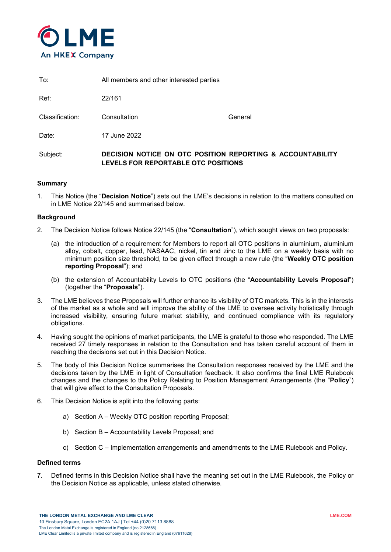

| To: | All members and other interested parties |
|-----|------------------------------------------|
|     |                                          |

Ref: 22/161

Classification: Consultation General

Date: 17 June 2022

# Subject: **DECISION NOTICE ON OTC POSITION REPORTING & ACCOUNTABILITY LEVELS FOR REPORTABLE OTC POSITIONS**

## **Summary**

1. This Notice (the "**Decision Notice**") sets out the LME's decisions in relation to the matters consulted on in LME Notice 22/145 and summarised below.

## **Background**

- 2. The Decision Notice follows Notice 22/145 (the "**Consultation**"), which sought views on two proposals:
	- (a) the introduction of a requirement for Members to report all OTC positions in aluminium, aluminium alloy, cobalt, copper, lead, NASAAC, nickel, tin and zinc to the LME on a weekly basis with no minimum position size threshold, to be given effect through a new rule (the "**Weekly OTC position reporting Proposal**"); and
	- (b) the extension of Accountability Levels to OTC positions (the "**Accountability Levels Proposal**") (together the "**Proposals**").
- 3. The LME believes these Proposals will further enhance its visibility of OTC markets. This is in the interests of the market as a whole and will improve the ability of the LME to oversee activity holistically through increased visibility, ensuring future market stability, and continued compliance with its regulatory obligations.
- 4. Having sought the opinions of market participants, the LME is grateful to those who responded. The LME received 27 timely responses in relation to the Consultation and has taken careful account of them in reaching the decisions set out in this Decision Notice.
- 5. The body of this Decision Notice summarises the Consultation responses received by the LME and the decisions taken by the LME in light of Consultation feedback. It also confirms the final LME Rulebook changes and the changes to the Policy Relating to Position Management Arrangements (the "**Policy**") that will give effect to the Consultation Proposals.
- 6. This Decision Notice is split into the following parts:
	- a) Section A Weekly OTC position reporting Proposal;
	- b) Section B Accountability Levels Proposal; and
	- c) Section C Implementation arrangements and amendments to the LME Rulebook and Policy.

## **Defined terms**

7. Defined terms in this Decision Notice shall have the meaning set out in the LME Rulebook, the Policy or the Decision Notice as applicable, unless stated otherwise.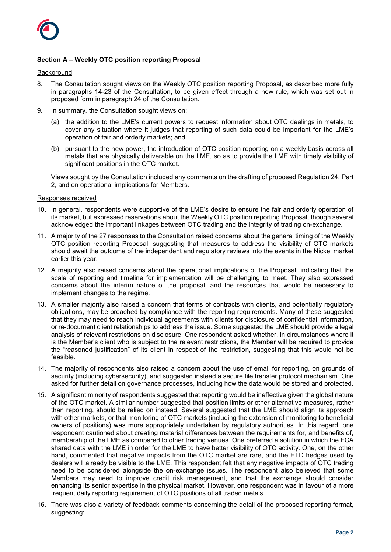

# **Section A – Weekly OTC position reporting Proposal**

#### Background

- 8. The Consultation sought views on the Weekly OTC position reporting Proposal, as described more fully in paragraphs 14-23 of the Consultation, to be given effect through a new rule, which was set out in proposed form in paragraph 24 of the Consultation.
- 9. In summary, the Consultation sought views on:
	- (a) the addition to the LME's current powers to request information about OTC dealings in metals, to cover any situation where it judges that reporting of such data could be important for the LME's operation of fair and orderly markets; and
	- (b) pursuant to the new power, the introduction of OTC position reporting on a weekly basis across all metals that are physically deliverable on the LME, so as to provide the LME with timely visibility of significant positions in the OTC market.

Views sought by the Consultation included any comments on the drafting of proposed Regulation 24, Part 2, and on operational implications for Members.

#### Responses received

- 10. In general, respondents were supportive of the LME's desire to ensure the fair and orderly operation of its market, but expressed reservations about the Weekly OTC position reporting Proposal, though several acknowledged the important linkages between OTC trading and the integrity of trading on-exchange.
- 11. A majority of the 27 responses to the Consultation raised concerns about the general timing of the Weekly OTC position reporting Proposal, suggesting that measures to address the visibility of OTC markets should await the outcome of the independent and regulatory reviews into the events in the Nickel market earlier this year.
- 12. A majority also raised concerns about the operational implications of the Proposal, indicating that the scale of reporting and timeline for implementation will be challenging to meet. They also expressed concerns about the interim nature of the proposal, and the resources that would be necessary to implement changes to the regime.
- 13. A smaller majority also raised a concern that terms of contracts with clients, and potentially regulatory obligations, may be breached by compliance with the reporting requirements. Many of these suggested that they may need to reach individual agreements with clients for disclosure of confidential information, or re-document client relationships to address the issue. Some suggested the LME should provide a legal analysis of relevant restrictions on disclosure. One respondent asked whether, in circumstances where it is the Member's client who is subject to the relevant restrictions, the Member will be required to provide the "reasoned justification" of its client in respect of the restriction, suggesting that this would not be feasible.
- 14. The majority of respondents also raised a concern about the use of email for reporting, on grounds of security (including cybersecurity), and suggested instead a secure file transfer protocol mechanism. One asked for further detail on governance processes, including how the data would be stored and protected.
- 15. A significant minority of respondents suggested that reporting would be ineffective given the global nature of the OTC market. A similar number suggested that position limits or other alternative measures, rather than reporting, should be relied on instead. Several suggested that the LME should align its approach with other markets, or that monitoring of OTC markets (including the extension of monitoring to beneficial owners of positions) was more appropriately undertaken by regulatory authorities. In this regard, one respondent cautioned about creating material differences between the requirements for, and benefits of, membership of the LME as compared to other trading venues. One preferred a solution in which the FCA shared data with the LME in order for the LME to have better visibility of OTC activity. One, on the other hand, commented that negative impacts from the OTC market are rare, and the ETD hedges used by dealers will already be visible to the LME. This respondent felt that any negative impacts of OTC trading need to be considered alongside the on-exchange issues. The respondent also believed that some Members may need to improve credit risk management, and that the exchange should consider enhancing its senior expertise in the physical market. However, one respondent was in favour of a more frequent daily reporting requirement of OTC positions of all traded metals.
- 16. There was also a variety of feedback comments concerning the detail of the proposed reporting format, suggesting: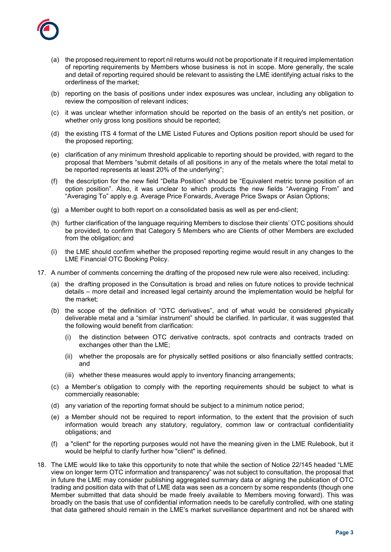

- (a) the proposed requirement to report nil returns would not be proportionate if it required implementation of reporting requirements by Members whose business is not in scope. More generally, the scale and detail of reporting required should be relevant to assisting the LME identifying actual risks to the orderliness of the market;
- (b) reporting on the basis of positions under index exposures was unclear, including any obligation to review the composition of relevant indices;
- (c) it was unclear whether information should be reported on the basis of an entity's net position, or whether only gross long positions should be reported;
- (d) the existing ITS 4 format of the LME Listed Futures and Options position report should be used for the proposed reporting;
- (e) clarification of any minimum threshold applicable to reporting should be provided, with regard to the proposal that Members "submit details of all positions in any of the metals where the total metal to be reported represents at least 20% of the underlying";
- (f) the description for the new field "Delta Position" should be "Equivalent metric tonne position of an option position". Also, it was unclear to which products the new fields "Averaging From" and "Averaging To" apply e.g. Average Price Forwards, Average Price Swaps or Asian Options;
- (g) a Member ought to both report on a consolidated basis as well as per end-client;
- (h) further clarification of the language requiring Members to disclose their clients' OTC positions should be provided, to confirm that Category 5 Members who are Clients of other Members are excluded from the obligation; and
- (i) the LME should confirm whether the proposed reporting regime would result in any changes to the LME Financial OTC Booking Policy.
- 17. A number of comments concerning the drafting of the proposed new rule were also received, including:
	- (a) the drafting proposed in the Consultation is broad and relies on future notices to provide technical details – more detail and increased legal certainty around the implementation would be helpful for the market;
	- (b) the scope of the definition of "OTC derivatives", and of what would be considered physically deliverable metal and a "similar instrument" should be clarified. In particular, it was suggested that the following would benefit from clarification:
		- (i) the distinction between OTC derivative contracts, spot contracts and contracts traded on exchanges other than the LME;
		- (ii) whether the proposals are for physically settled positions or also financially settled contracts; and
		- (iii) whether these measures would apply to inventory financing arrangements;
	- (c) a Member's obligation to comply with the reporting requirements should be subject to what is commercially reasonable;
	- (d) any variation of the reporting format should be subject to a minimum notice period;
	- (e) a Member should not be required to report information, to the extent that the provision of such information would breach any statutory, regulatory, common law or contractual confidentiality obligations; and
	- (f) a "client" for the reporting purposes would not have the meaning given in the LME Rulebook, but it would be helpful to clarify further how "client" is defined.
- 18. The LME would like to take this opportunity to note that while the section of Notice 22/145 headed "LME view on longer term OTC information and transparency" was not subject to consultation, the proposal that in future the LME may consider publishing aggregated summary data or aligning the publication of OTC trading and position data with that of LME data was seen as a concern by some respondents (though one Member submitted that data should be made freely available to Members moving forward). This was broadly on the basis that use of confidential information needs to be carefully controlled, with one stating that data gathered should remain in the LME's market surveillance department and not be shared with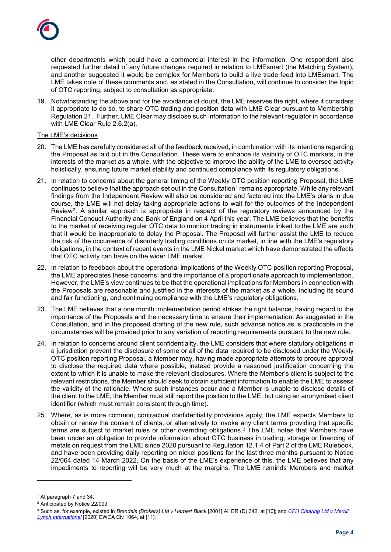

other departments which could have a commercial interest in the information. One respondent also requested further detail of any future changes required in relation to LMEsmart (the Matching System), and another suggested it would be complex for Members to build a live trade feed into LMEsmart. The LME takes note of these comments and, as stated in the Consultation, will continue to consider the topic of OTC reporting, subject to consultation as appropriate.

19. Notwithstanding the above and for the avoidance of doubt, the LME reserves the right, where it considers it appropriate to do so, to share OTC trading and position data with LME Clear pursuant to Membership Regulation 21. Further, LME Clear may disclose such information to the relevant regulator in accordance with LME Clear Rule 2.6.2(a).

#### The LME's decisions

- 20. The LME has carefully considered all of the feedback received, in combination with its intentions regarding the Proposal as laid out in the Consultation. These were to enhance its visibility of OTC markets, in the interests of the market as a whole, with the objective to improve the ability of the LME to oversee activity holistically, ensuring future market stability and continued compliance with its regulatory obligations.
- 21. In relation to concerns about the general timing of the Weekly OTC position reporting Proposal, the LME continues to believe that the approach set out in the Consultation<sup>[1](#page-3-0)</sup> remains appropriate. While any relevant findings from the Independent Review will also be considered and factored into the LME's plans in due course, the LME will not delay taking appropriate actions to wait for the outcomes of the Independent Review[2.](#page-3-1) A similar approach is appropriate in respect of the regulatory reviews announced by the Financial Conduct Authority and Bank of England on 4 April this year. The LME believes that the benefits to the market of receiving regular OTC data to monitor trading in instruments linked to the LME are such that it would be inappropriate to delay the Proposal. The Proposal will further assist the LME to reduce the risk of the occurrence of disorderly trading conditions on its market, in line with the LME's regulatory obligations, in the context of recent events in the LME Nickel market which have demonstrated the effects that OTC activity can have on the wider LME market.
- 22. In relation to feedback about the operational implications of the Weekly OTC position reporting Proposal, the LME appreciates these concerns, and the importance of a proportionate approach to implementation. However, the LME's view continues to be that the operational implications for Members in connection with the Proposals are reasonable and justified in the interests of the market as a whole, including its sound and fair functioning, and continuing compliance with the LME's regulatory obligations.
- 23. The LME believes that a one month implementation period strikes the right balance, having regard to the importance of the Proposals and the necessary time to ensure their implementation. As suggested in the Consultation, and in the proposed drafting of the new rule, such advance notice as is practicable in the circumstances will be provided prior to any variation of reporting requirements pursuant to the new rule.
- 24. In relation to concerns around client confidentiality, the LME considers that where statutory obligations in a jurisdiction prevent the disclosure of some or all of the data required to be disclosed under the Weekly OTC position reporting Proposal, a Member may, having made appropriate attempts to procure approval to disclose the required data where possible, instead provide a reasoned justification concerning the extent to which it is unable to make the relevant disclosures. Where the Member's client is subject to the relevant restrictions, the Member should seek to obtain sufficient information to enable the LME to assess the validity of the rationale. Where such instances occur and a Member is unable to disclose details of the client to the LME, the Member must still report the position to the LME, but using an anonymised client identifier (which must remain consistent through time).
- 25. Where, as is more common, contractual confidentiality provisions apply, the LME expects Members to obtain or renew the consent of clients, or alternatively to invoke any client terms providing that specific terms are subject to market rules or other overriding obligations.[3](#page-3-2) The LME notes that Members have been under an obligation to provide information about OTC business in trading, storage or financing of metals on request from the LME since 2020 pursuant to Regulation 12.1.4 of Part 2 of the LME Rulebook, and have been providing daily reporting on nickel positions for the last three months pursuant to Notice 22/064 dated 14 March 2022. On the basis of the LME's experience of this, the LME believes that any impediments to reporting will be very much at the margins. The LME reminds Members and market

-

<span id="page-3-0"></span><sup>1</sup> At paragraph 7 and 34.

<span id="page-3-1"></span><sup>2</sup> Anticipated by Notice 22/099.

<span id="page-3-2"></span><sup>3</sup> Such as, for example, existed in *Brandeis (Brokers) Ltd v Herbert Black* [2001] All ER (D) 342, at [10]; and *[CFH Clearing Ltd v Merrill](https://www.bailii.org/ew/cases/EWCA/Civ/2020/1064.html)  [Lynch International](https://www.bailii.org/ew/cases/EWCA/Civ/2020/1064.html)* [2020] EWCA Civ 1064, at [11].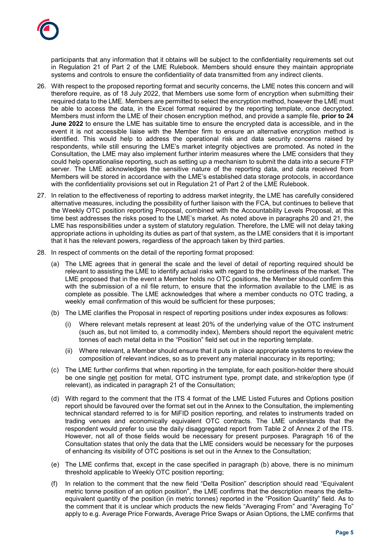participants that any information that it obtains will be subject to the confidentiality requirements set out in Regulation 21 of Part 2 of the LME Rulebook. Members should ensure they maintain appropriate systems and controls to ensure the confidentiality of data transmitted from any indirect clients.

- 26. With respect to the proposed reporting format and security concerns, the LME notes this concern and will therefore require, as of 18 July 2022, that Members use some form of encryption when submitting their required data to the LME. Members are permitted to select the encryption method, however the LME must be able to access the data, in the Excel format required by the reporting template, once decrypted. Members must inform the LME of their chosen encryption method, and provide a sample file, **prior to 24 June 2022** to ensure the LME has suitable time to ensure the encrypted data is accessible, and in the event it is not accessible liaise with the Member firm to ensure an alternative encryption method is identified. This would help to address the operational risk and data security concerns raised by respondents, while still ensuring the LME's market integrity objectives are promoted. As noted in the Consultation, the LME may also implement further interim measures where the LME considers that they could help operationalise reporting, such as setting up a mechanism to submit the data into a secure FTP server. The LME acknowledges the sensitive nature of the reporting data, and data received from Members will be stored in accordance with the LME's established data storage protocols, in accordance with the confidentiality provisions set out in Regulation 21 of Part 2 of the LME Rulebook.
- 27. In relation to the effectiveness of reporting to address market integrity, the LME has carefully considered alternative measures, including the possibility of further liaison with the FCA, but continues to believe that the Weekly OTC position reporting Proposal, combined with the Accountability Levels Proposal, at this time best addresses the risks posed to the LME's market. As noted above in paragraphs 20 and 21, the LME has responsibilities under a system of statutory regulation. Therefore, the LME will not delay taking appropriate actions in upholding its duties as part of that system, as the LME considers that it is important that it has the relevant powers, regardless of the approach taken by third parties.
- 28. In respect of comments on the detail of the reporting format proposed:
	- (a) The LME agrees that in general the scale and the level of detail of reporting required should be relevant to assisting the LME to identify actual risks with regard to the orderliness of the market. The LME proposed that in the event a Member holds no OTC positions, the Member should confirm this with the submission of a nil file return, to ensure that the information available to the LME is as complete as possible. The LME acknowledges that where a member conducts no OTC trading, a weekly email confirmation of this would be sufficient for these purposes;
	- (b) The LME clarifies the Proposal in respect of reporting positions under index exposures as follows:
		- (i) Where relevant metals represent at least 20% of the underlying value of the OTC instrument (such as, but not limited to, a commodity index), Members should report the equivalent metric tonnes of each metal delta in the "Position" field set out in the reporting template.
		- (ii) Where relevant, a Member should ensure that it puts in place appropriate systems to review the composition of relevant indices, so as to prevent any material inaccuracy in its reporting;
	- (c) The LME further confirms that when reporting in the template, for each position-holder there should be one single net position for metal, OTC instrument type, prompt date, and strike/option type (if relevant), as indicated in paragraph 21 of the Consultation;
	- (d) With regard to the comment that the ITS 4 format of the LME Listed Futures and Options position report should be favoured over the format set out in the Annex to the Consultation, the implementing technical standard referred to is for MiFID position reporting, and relates to instruments traded on trading venues and economically equivalent OTC contracts. The LME understands that the respondent would prefer to use the daily disaggregated report from Table 2 of Annex 2 of the ITS. However, not all of those fields would be necessary for present purposes. Paragraph 16 of the Consultation states that only the data that the LME considers would be necessary for the purposes of enhancing its visibility of OTC positions is set out in the Annex to the Consultation;
	- (e) The LME confirms that, except in the case specified in paragraph (b) above, there is no minimum threshold applicable to Weekly OTC position reporting;
	- (f) In relation to the comment that the new field "Delta Position" description should read "Equivalent metric tonne position of an option position", the LME confirms that the description means the deltaequivalent quantity of the position (in metric tonnes) reported in the "Position Quantity" field. As to the comment that it is unclear which products the new fields "Averaging From" and "Averaging To" apply to e.g. Average Price Forwards, Average Price Swaps or Asian Options, the LME confirms that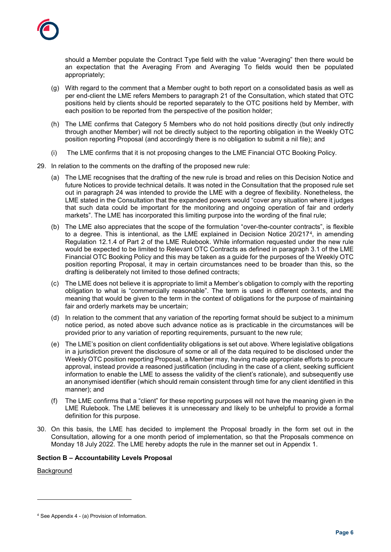

should a Member populate the Contract Type field with the value "Averaging" then there would be an expectation that the Averaging From and Averaging To fields would then be populated appropriately;

- (g) With regard to the comment that a Member ought to both report on a consolidated basis as well as per end-client the LME refers Members to paragraph 21 of the Consultation, which stated that OTC positions held by clients should be reported separately to the OTC positions held by Member, with each position to be reported from the perspective of the position holder;
- (h) The LME confirms that Category 5 Members who do not hold positions directly (but only indirectly through another Member) will not be directly subject to the reporting obligation in the Weekly OTC position reporting Proposal (and accordingly there is no obligation to submit a nil file); and
- (i) The LME confirms that it is not proposing changes to the LME Financial OTC Booking Policy.
- 29. In relation to the comments on the drafting of the proposed new rule:
	- (a) The LME recognises that the drafting of the new rule is broad and relies on this Decision Notice and future Notices to provide technical details. It was noted in the Consultation that the proposed rule set out in paragraph 24 was intended to provide the LME with a degree of flexibility. Nonetheless, the LME stated in the Consultation that the expanded powers would "cover any situation where it judges that such data could be important for the monitoring and ongoing operation of fair and orderly markets". The LME has incorporated this limiting purpose into the wording of the final rule;
	- (b) The LME also appreciates that the scope of the formulation "over-the-counter contracts", is flexible to a degree. This is intentional, as the LME explained in Decision Notice 20/217<sup>[4](#page-5-0)</sup>, in amending Regulation 12.1.4 of Part 2 of the LME Rulebook. While information requested under the new rule would be expected to be limited to Relevant OTC Contracts as defined in paragraph 3.1 of the LME Financial OTC Booking Policy and this may be taken as a guide for the purposes of the Weekly OTC position reporting Proposal, it may in certain circumstances need to be broader than this, so the drafting is deliberately not limited to those defined contracts;
	- (c) The LME does not believe it is appropriate to limit a Member's obligation to comply with the reporting obligation to what is "commercially reasonable". The term is used in different contexts, and the meaning that would be given to the term in the context of obligations for the purpose of maintaining fair and orderly markets may be uncertain;
	- (d) In relation to the comment that any variation of the reporting format should be subject to a minimum notice period, as noted above such advance notice as is practicable in the circumstances will be provided prior to any variation of reporting requirements, pursuant to the new rule;
	- (e) The LME's position on client confidentiality obligations is set out above. Where legislative obligations in a jurisdiction prevent the disclosure of some or all of the data required to be disclosed under the Weekly OTC position reporting Proposal, a Member may, having made appropriate efforts to procure approval, instead provide a reasoned justification (including in the case of a client, seeking sufficient information to enable the LME to assess the validity of the client's rationale), and subsequently use an anonymised identifier (which should remain consistent through time for any client identified in this manner); and
	- (f) The LME confirms that a "client" for these reporting purposes will not have the meaning given in the LME Rulebook. The LME believes it is unnecessary and likely to be unhelpful to provide a formal definition for this purpose.
- 30. On this basis, the LME has decided to implement the Proposal broadly in the form set out in the Consultation, allowing for a one month period of implementation, so that the Proposals commence on Monday 18 July 2022. The LME hereby adopts the rule in the manner set out in Appendix 1.

## **Section B – Accountability Levels Proposal**

**Background** 

-

<span id="page-5-0"></span><sup>4</sup> See Appendix 4 - (a) Provision of Information.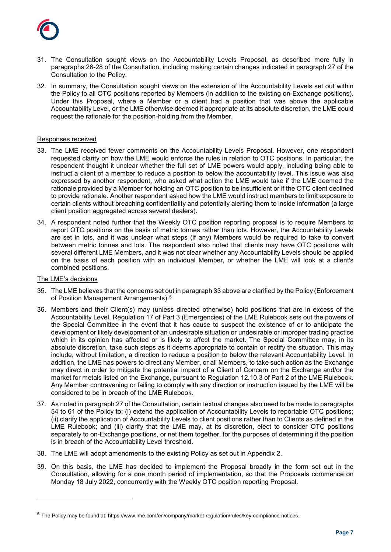

- 31. The Consultation sought views on the Accountability Levels Proposal, as described more fully in paragraphs 26-28 of the Consultation, including making certain changes indicated in paragraph 27 of the Consultation to the Policy.
- 32. In summary, the Consultation sought views on the extension of the Accountability Levels set out within the Policy to all OTC positions reported by Members (in addition to the existing on-Exchange positions). Under this Proposal, where a Member or a client had a position that was above the applicable Accountability Level, or the LME otherwise deemed it appropriate at its absolute discretion, the LME could request the rationale for the position-holding from the Member.

#### Responses received

- 33. The LME received fewer comments on the Accountability Levels Proposal. However, one respondent requested clarity on how the LME would enforce the rules in relation to OTC positions. In particular, the respondent thought it unclear whether the full set of LME powers would apply, including being able to instruct a client of a member to reduce a position to below the accountability level. This issue was also expressed by another respondent, who asked what action the LME would take if the LME deemed the rationale provided by a Member for holding an OTC position to be insufficient or if the OTC client declined to provide rationale. Another respondent asked how the LME would instruct members to limit exposure to certain clients without breaching confidentiality and potentially alerting them to inside information (a large client position aggregated across several dealers).
- 34. A respondent noted further that the Weekly OTC position reporting proposal is to require Members to report OTC positions on the basis of metric tonnes rather than lots. However, the Accountability Levels are set in lots, and it was unclear what steps (if any) Members would be required to take to convert between metric tonnes and lots. The respondent also noted that clients may have OTC positions with several different LME Members, and it was not clear whether any Accountability Levels should be applied on the basis of each position with an individual Member, or whether the LME will look at a client's combined positions.

#### The LME's decisions

-

- 35. The LME believes that the concerns set out in paragraph 33 above are clarified by the Policy (Enforcement of Position Management Arrangements).[5](#page-6-0)
- 36. Members and their Client(s) may (unless directed otherwise) hold positions that are in excess of the Accountability Level. Regulation 17 of Part 3 (Emergencies) of the LME Rulebook sets out the powers of the Special Committee in the event that it has cause to suspect the existence of or to anticipate the development or likely development of an undesirable situation or undesirable or improper trading practice which in its opinion has affected or is likely to affect the market. The Special Committee may, in its absolute discretion, take such steps as it deems appropriate to contain or rectify the situation. This may include, without limitation, a direction to reduce a position to below the relevant Accountability Level. In addition, the LME has powers to direct any Member, or all Members, to take such action as the Exchange may direct in order to mitigate the potential impact of a Client of Concern on the Exchange and/or the market for metals listed on the Exchange, pursuant to Regulation 12.10.3 of Part 2 of the LME Rulebook. Any Member contravening or failing to comply with any direction or instruction issued by the LME will be considered to be in breach of the LME Rulebook.
- 37. As noted in paragraph 27 of the Consultation, certain textual changes also need to be made to paragraphs 54 to 61 of the Policy to: (i) extend the application of Accountability Levels to reportable OTC positions; (ii) clarify the application of Accountability Levels to client positions rather than to Clients as defined in the LME Rulebook; and (iii) clarify that the LME may, at its discretion, elect to consider OTC positions separately to on-Exchange positions, or net them together, for the purposes of determining if the position is in breach of the Accountability Level threshold.
- 38. The LME will adopt amendments to the existing Policy as set out in Appendix 2.
- 39. On this basis, the LME has decided to implement the Proposal broadly in the form set out in the Consultation, allowing for a one month period of implementation, so that the Proposals commence on Monday 18 July 2022, concurrently with the Weekly OTC position reporting Proposal.

<span id="page-6-0"></span><sup>5</sup> The Policy may be found at: https://www.lme.com/en/company/market-regulation/rules/key-compliance-notices.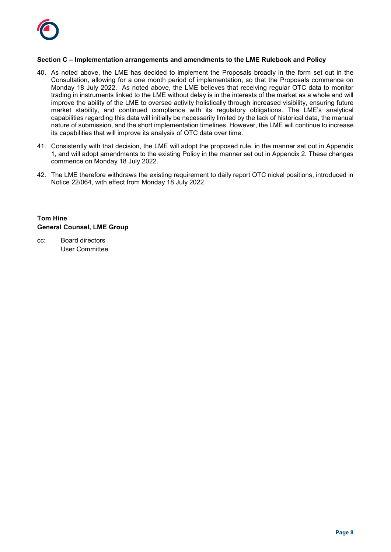

## **Section C – Implementation arrangements and amendments to the LME Rulebook and Policy**

- 40. As noted above, the LME has decided to implement the Proposals broadly in the form set out in the Consultation, allowing for a one month period of implementation, so that the Proposals commence on Monday 18 July 2022. As noted above, the LME believes that receiving regular OTC data to monitor trading in instruments linked to the LME without delay is in the interests of the market as a whole and will improve the ability of the LME to oversee activity holistically through increased visibility, ensuring future market stability, and continued compliance with its regulatory obligations. The LME's analytical capabilities regarding this data will initially be necessarily limited by the lack of historical data, the manual nature of submission, and the short implementation timelines. However, the LME will continue to increase its capabilities that will improve its analysis of OTC data over time.
- 41. Consistently with that decision, the LME will adopt the proposed rule, in the manner set out in Appendix 1, and will adopt amendments to the existing Policy in the manner set out in Appendix 2. These changes commence on Monday 18 July 2022.
- 42. The LME therefore withdraws the existing requirement to daily report OTC nickel positions, introduced in Notice 22/064, with effect from Monday 18 July 2022.

# **Tom Hine General Counsel, LME Group**

cc: Board directors User Committee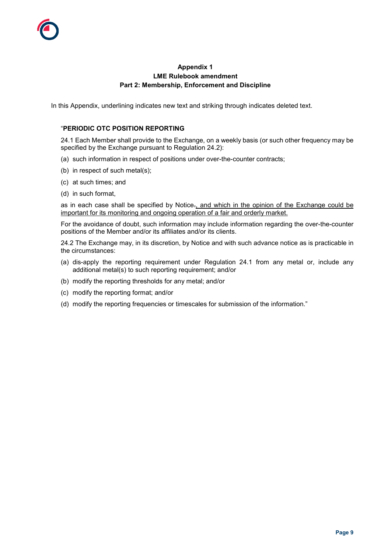# **Appendix 1 LME Rulebook amendment Part 2: Membership, Enforcement and Discipline**

In this Appendix, underlining indicates new text and striking through indicates deleted text.

# "**PERIODIC OTC POSITION REPORTING**

24.1 Each Member shall provide to the Exchange, on a weekly basis (or such other frequency may be specified by the Exchange pursuant to Regulation 24.2):

- (a) such information in respect of positions under over-the-counter contracts;
- (b) in respect of such metal(s);
- (c) at such times; and
- (d) in such format,

as in each case shall be specified by Notice., and which in the opinion of the Exchange could be important for its monitoring and ongoing operation of a fair and orderly market.

For the avoidance of doubt, such information may include information regarding the over-the-counter positions of the Member and/or its affiliates and/or its clients.

24.2 The Exchange may, in its discretion, by Notice and with such advance notice as is practicable in the circumstances:

- (a) dis-apply the reporting requirement under Regulation 24.1 from any metal or, include any additional metal(s) to such reporting requirement; and/or
- (b) modify the reporting thresholds for any metal; and/or
- (c) modify the reporting format; and/or
- (d) modify the reporting frequencies or timescales for submission of the information."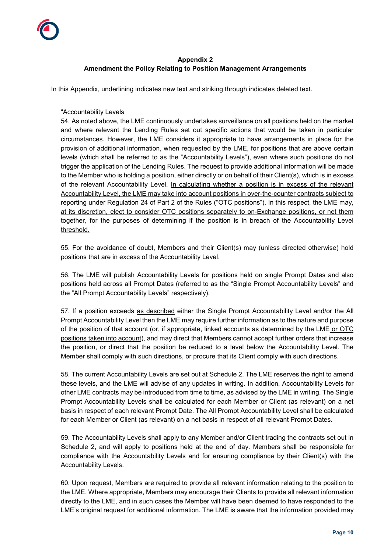# **Appendix 2 Amendment the Policy Relating to Position Management Arrangements**

In this Appendix, underlining indicates new text and striking through indicates deleted text.

#### "Accountability Levels

54. As noted above, the LME continuously undertakes surveillance on all positions held on the market and where relevant the Lending Rules set out specific actions that would be taken in particular circumstances. However, the LME considers it appropriate to have arrangements in place for the provision of additional information, when requested by the LME, for positions that are above certain levels (which shall be referred to as the "Accountability Levels"), even where such positions do not trigger the application of the Lending Rules. The request to provide additional information will be made to the Member who is holding a position, either directly or on behalf of their Client(s), which is in excess of the relevant Accountability Level. In calculating whether a position is in excess of the relevant Accountability Level, the LME may take into account positions in over-the-counter contracts subject to reporting under Regulation 24 of Part 2 of the Rules ("OTC positions"). In this respect, the LME may, at its discretion, elect to consider OTC positions separately to on-Exchange positions, or net them together, for the purposes of determining if the position is in breach of the Accountability Level threshold.

55. For the avoidance of doubt, Members and their Client(s) may (unless directed otherwise) hold positions that are in excess of the Accountability Level.

56. The LME will publish Accountability Levels for positions held on single Prompt Dates and also positions held across all Prompt Dates (referred to as the "Single Prompt Accountability Levels" and the "All Prompt Accountability Levels" respectively).

57. If a position exceeds as described either the Single Prompt Accountability Level and/or the All Prompt Accountability Level then the LME may require further information as to the nature and purpose of the position of that account (or, if appropriate, linked accounts as determined by the LME or OTC positions taken into account), and may direct that Members cannot accept further orders that increase the position, or direct that the position be reduced to a level below the Accountability Level. The Member shall comply with such directions, or procure that its Client comply with such directions.

58. The current Accountability Levels are set out at Schedule 2. The LME reserves the right to amend these levels, and the LME will advise of any updates in writing. In addition, Accountability Levels for other LME contracts may be introduced from time to time, as advised by the LME in writing. The Single Prompt Accountability Levels shall be calculated for each Member or Client (as relevant) on a net basis in respect of each relevant Prompt Date. The All Prompt Accountability Level shall be calculated for each Member or Client (as relevant) on a net basis in respect of all relevant Prompt Dates.

59. The Accountability Levels shall apply to any Member and/or Client trading the contracts set out in Schedule 2, and will apply to positions held at the end of day. Members shall be responsible for compliance with the Accountability Levels and for ensuring compliance by their Client(s) with the Accountability Levels.

60. Upon request, Members are required to provide all relevant information relating to the position to the LME. Where appropriate, Members may encourage their Clients to provide all relevant information directly to the LME, and in such cases the Member will have been deemed to have responded to the LME's original request for additional information. The LME is aware that the information provided may